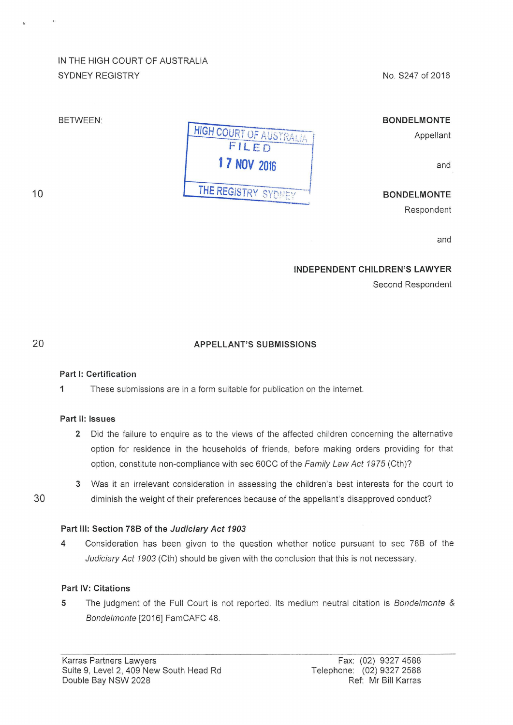# IN THE HIGH COURT OF AUSTRALIA SYDNEY REGISTRY

No. S247 of 2016

## BETWEEN:

## BONDELMONTE

Appellant

and

BONDELMONTE

Respondent

and

### INDEPENDENT CHILDREN'S LAWYER

Second Respondent

10

## APPELLANT'S SUBMISSIONS

**HIGH COURT OF AUSTRALIA** 

**FILED** 

THE REGISTRY SYDNEY

1

#### Part 1: Certification

1 These submissions are in a form suitable for publication on the internet.

#### Part 11: Issues

- 2 Did the failure to enquire as to the views of the affected children concerning the alternative option for residence in the households of friends, before making orders providing for that option, constitute non-compliance with sec 60CC of the Family Law Act 1975 (Cth)?
- 3 Was it an irrelevant consideration in assessing the children's best interests for the court to 30 diminish the weight of their preferences because of the appellant's disapproved conduct?

## Part Ill: Section 788 of the Judiciary Act 1903

4 Consideration has been given to the question whether notice pursuant to sec 78B of the Judiciary Act 1903 (Cth) should be given with the conclusion that this is not necessary.

## Part IV: Citations

5 The judgment of the Full Court is not reported. Its medium neutral citation is Bondelmonte & Bondelmonte [2016] FamCAFC 48.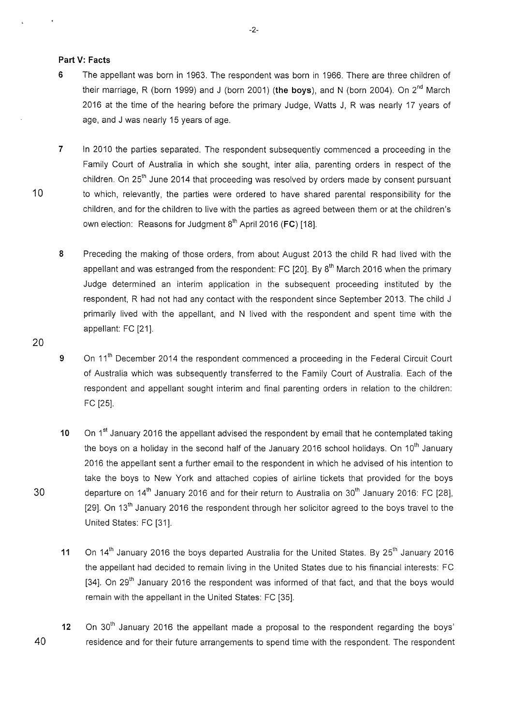#### **Part V: Facts**

- **6** The appellant was born in 1963. The respondent was born in 1966. There are three children of their marriage, R (born 1999) and J (born 2001) **(the boys),** and N (born 2004). On 2nd March 2016 at the time of the hearing before the primary Judge, Watts J, R was nearly 17 years of age, and J was nearly 15 years of age.
- **7** In 2010 the parties separated. The respondent subsequently commenced a proceeding in the Family Court of Australia in which she sought, inter alia, parenting orders in respect of the children. On 25<sup>th</sup> June 2014 that proceeding was resolved by orders made by consent pursuant 10 to which, relevantly, the parties were ordered to have shared parental responsibility for the children, and for the children to live with the parties as agreed between them or at the children's own election: Reasons for Judgment 8<sup>th</sup> April 2016 (FC) [18].
	- 8 Preceding the making of those orders, from about August 2013 the child R had lived with the appellant and was estranged from the respondent: FC  $[20]$ . By  $8<sup>th</sup>$  March 2016 when the primary Judge determined an interim application in the subsequent proceeding instituted by the respondent, R had not had any contact with the respondent since September 2013. The child J primarily lived with the appellant, and N lived with the respondent and spent time with the appellant: FC [21].
	- 9 On 11<sup>th</sup> December 2014 the respondent commenced a proceeding in the Federal Circuit Court of Australia which was subsequently transferred to the Family Court of Australia. Each of the respondent and appellant sought interim and final parenting orders in relation to the children: FC [25].
- **10** On 1<sup>st</sup> January 2016 the appellant advised the respondent by email that he contemplated taking the boys on a holiday in the second half of the January 2016 school holidays. On  $10<sup>th</sup>$  January 2016 the appellant sent a further email to the respondent in which he advised of his intention to take the boys to New York and attached copies of airline tickets that provided for the boys 30 departure on  $14<sup>th</sup>$  January 2016 and for their return to Australia on  $30<sup>th</sup>$  January 2016: FC [28], [29]. On 13<sup>th</sup> January 2016 the respondent through her solicitor agreed to the boys travel to the United States: FC [31].
	- 11 On 14<sup>th</sup> January 2016 the boys departed Australia for the United States. By 25<sup>th</sup> January 2016 the appellant had decided to remain living in the United States due to his financial interests: FC [34]. On 29<sup>th</sup> January 2016 the respondent was informed of that fact, and that the boys would remain with the appellant in the United States: FC [35].
- 12 On 30<sup>th</sup> January 2016 the appellant made a proposal to the respondent regarding the boys' 40 residence and for their future arrangements to spend time with the respondent. The respondent

20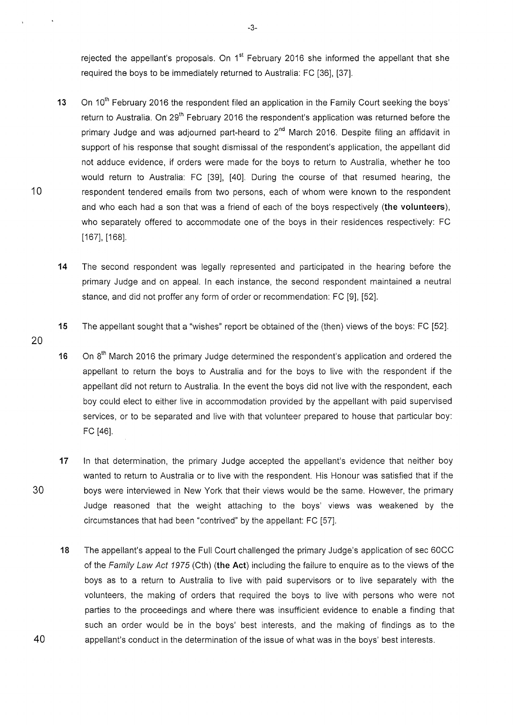rejected the appellant's proposals. On  $1<sup>st</sup>$  February 2016 she informed the appellant that she required the boys to be immediately returned to Australia: FC [36], [37].

- **13** On 10<sup>th</sup> February 2016 the respondent filed an application in the Family Court seeking the boys' return to Australia. On 29<sup>th</sup> February 2016 the respondent's application was returned before the primary Judge and was adjourned part-heard to 2<sup>nd</sup> March 2016. Despite filing an affidavit in support of his response that sought dismissal of the respondent's application, the appellant did not adduce evidence, if orders were made for the boys to return to Australia, whether he too would return to Australia: FC [39], [40]. During the course of that resumed hearing, the 10 respondent tendered emails from two persons, each of whom were known to the respondent and who each had a son that was a friend of each of the boys respectively **(the volunteers),**  who separately offered to accommodate one of the boys in their residences respectively: FC [167], [168].
	- **14** The second respondent was legally represented and participated in the hearing before the primary Judge and on appeal. In each instance, the second respondent maintained a neutral stance, and did not proffer any form of order or recommendation: FC [9], [52].
	- **15** The appellant sought that a "wishes" report be obtained of the (then) views of the boys: FC [52].
- 20
- 16  $\degree$  On 8<sup>th</sup> March 2016 the primary Judge determined the respondent's application and ordered the appellant to return the boys to Australia and for the boys to live with the respondent if the appellant did not return to Australia. In the event the boys did not live with the respondent, each boy could elect to either live in accommodation provided by the appellant with paid supervised services, or to be separated and live with that volunteer prepared to house that particular boy: FC [46].
- **17** In that determination, the primary Judge accepted the appellant's evidence that neither boy wanted to return to Australia or to live with the respondent. His Honour was satisfied that if the 30 boys were interviewed in New York that their views would be the same. However, the primary Judge reasoned that the weight attaching to the boys' views was weakened by the circumstances that had been "contrived" by the appellant: FC [57].
- **18** The appellant's appeal to the Full Court challenged the primary Judge's application of sec 60CC of the Family Law Act 1975 (Cth) **(the Act)** including the failure to enquire as to the views of the boys as to a return to Australia to live with paid supervisors or to live separately with the volunteers, the making of orders that required the boys to live with persons who were not parties to the proceedings and where there was insufficient evidence to enable a finding that such an order would be in the boys' best interests, and the making of findings as to the 40 appellant's conduct in the determination of the issue of what was in the boys' best interests.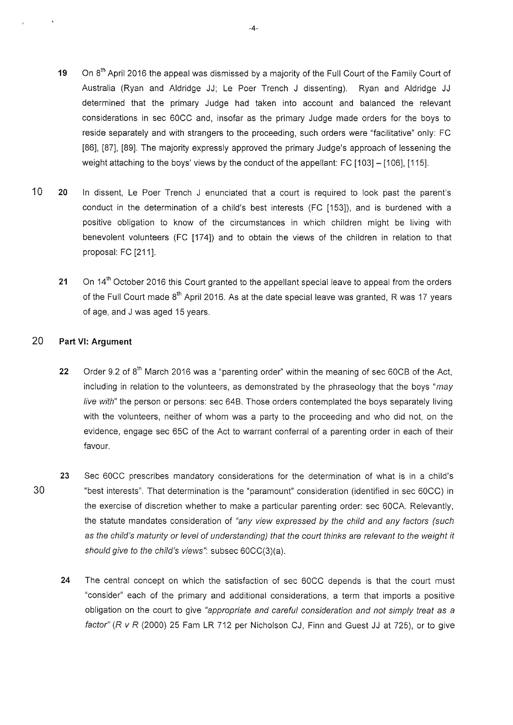- 19 On 8<sup>th</sup> April 2016 the appeal was dismissed by a majority of the Full Court of the Family Court of Australia (Ryan and Aldridge JJ; Le Poer Trench J dissenting). Ryan and Aldridge JJ determined that the primary Judge had taken into account and balanced the relevant considerations in sec 60CC and, insofar as the primary Judge made orders for the boys to reside separately and with strangers to the proceeding, such orders were "facilitative" only: FC [86], [87], [89]. The majority expressly approved the primary Judge's approach of lessening the weight attaching to the boys' views by the conduct of the appellant: FC [103] - [106], [115].
- 10 **20** In dissent, Le Poer Trench J enunciated that a court is required to look past the parent's conduct in the determination of a child's best interests (FC [153]), and is burdened with a positive obligation to know of the circumstances in which children might be living with benevolent volunteers (FC [174]) and to obtain the views of the children in relation to that proposal: FC [211].
	- 21 On 14<sup>th</sup> October 2016 this Court granted to the appellant special leave to appeal from the orders of the Full Court made  $8<sup>th</sup>$  April 2016. As at the date special leave was granted, R was 17 years of age, and J was aged 15 years.

#### 20 **Part VI: Argument**

- **22** Order 9.2 of 8<sup>th</sup> March 2016 was a "parenting order" within the meaning of sec 60CB of the Act, including in relation to the volunteers, as demonstrated by the phraseology that the boys "may live with" the person or persons: sec 648. Those orders contemplated the boys separately living with the volunteers, neither of whom was a party to the proceeding and who did not, on the evidence, engage sec 65C of the Act to warrant conferral of a parenting order in each of their favour.
- **23** Sec 60CC prescribes mandatory considerations for the determination of what is in a child's 30 "best interests". That determination is the "paramount" consideration (identified in sec 60CC) in the exercise of discretion whether to make a particular parenting order: sec 60CA. Relevantly, the statute mandates consideration of "any view expressed by the child and any factors (such as the child's maturity or level of understanding) that the court thinks are relevant to the weight it should give to the child's views": subsec 60CC(3)(a).
	- **24** The central concept on which the satisfaction of sec 60CC depends is that the court must "consider" each of the primary and additional considerations, a term that imports a positive obligation on the court to give "appropriate and careful consideration and not simply treat as a factor" ( $R$  v  $R$  (2000) 25 Fam LR 712 per Nicholson CJ, Finn and Guest JJ at 725), or to give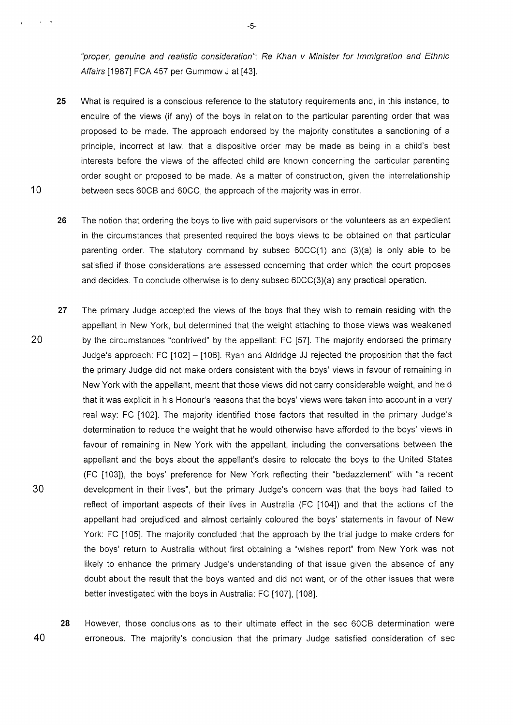"proper, genuine and realistic consideration": Re Khan v Minister for Immigration and Ethnic Affairs [1987] FCA 457 per Gummow J at [43].

- 25 What is required is a conscious reference to the statutory requirements and, in this instance, to enquire of the views (if any) of the boys in relation to the particular parenting order that was proposed to be made. The approach endorsed by the majority constitutes a sanctioning of a principle, incorrect at law, that a dispositive order may be made as being in a child's best interests before the views of the affected child are known concerning the particular parenting order sought or proposed to be made. As a matter of construction, given the interrelationship 10 between secs 60CB and 60CC, the approach of the majority was in error.
	- 26 The notion that ordering the boys to live with paid supervisors or the volunteers as an expedient in the circumstances that presented required the boys views to be obtained on that particular parenting order. The statutory command by subsec 60CC(1) and (3)(a) is only able to be satisfied if those considerations are assessed concerning that order which the court proposes and decides. To conclude otherwise is to deny subsec 60CC(3)(a) any practical operation.
- 27 The primary Judge accepted the views of the boys that they wish to remain residing with the appellant in New York, but determined that the weight attaching to those views was weakened 20 by the circumstances "contrived" by the appellant: FC [57]. The majority endorsed the primary Judge's approach: FC [102] - [106]. Ryan and Aldridge JJ rejected the proposition that the fact the primary Judge did not make orders consistent with the boys' views in favour of remaining in New York with the appellant, meant that those views did not carry considerable weight, and held that it was explicit in his Honour's reasons that the boys' views were taken into account in a very real way: FC [102]. The majority identified those factors that resulted in the primary Judge's determination to reduce the weight that he would otherwise have afforded to the boys' views in favour of remaining in New York with the appellant, including the conversations between the appellant and the boys about the appellant's desire to relocate the boys to the United States (FC [103]), the boys' preference for New York reflecting their "bedazzlement" with "a recent 30 development in their lives", but the primary Judge's concern was that the boys had failed to reflect of important aspects of their lives in Australia (FC [104]) and that the actions of the appellant had prejudiced and almost certainly coloured the boys' statements in favour of New York: FC [105]. The majority concluded that the approach by the trial judge to make orders for the boys' return to Australia without first obtaining a "wishes report" from New York was not likely to enhance the primary Judge's understanding of that issue given the absence of any doubt about the result that the boys wanted and did not want, or of the other issues that were better investigated with the boys in Australia: FC [107], [108].

28 However, those conclusions as to their ultimate effect in the sec 60CB determination were 40 erroneous. The majority's conclusion that the primary Judge satisfied consideration of sec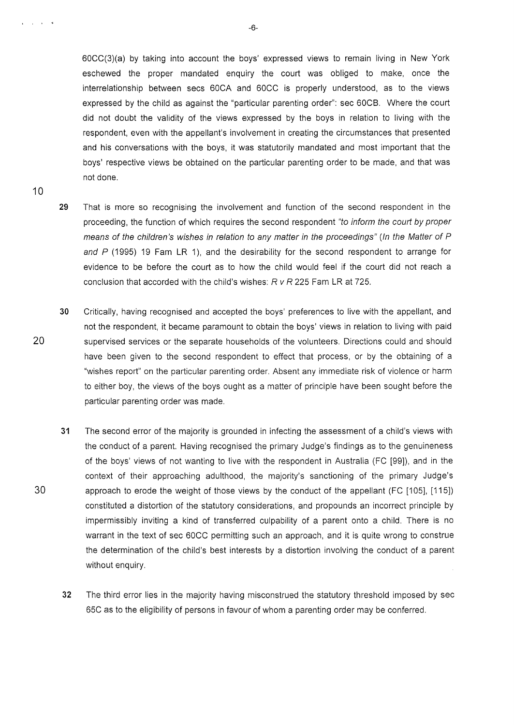60CC(3)(a) by taking into account the boys' expressed views to remain living in New York eschewed the proper mandated enquiry the court was obliged to make, once the interrelationship between secs 60CA and 60CC is properly understood, as to the views expressed by the child as against the "particular parenting order": sec 60CB. Where the court did not doubt the validity of the views expressed by the boys in relation to living with the respondent, even with the appellant's involvement in creating the circumstances that presented and his conversations with the boys, it was statutorily mandated and most important that the boys' respective views be obtained on the particular parenting order to be made, and that was not done.

- 29 That is more so recognising the involvement and function of the second respondent in the proceeding, the function of which requires the second respondent "to inform the court by proper means of the children's wishes in relation to any matter in the proceedings" (In the Matter of P and  $P$  (1995) 19 Fam LR 1), and the desirability for the second respondent to arrange for evidence to be before the court as to how the child would feel if the court did not reach a conclusion that accorded with the child's wishes: *R v R* 225 Fam LR at 725.
- 30 Critically, having recognised and accepted the boys' preferences to live with the appellant, and not the respondent, it became paramount to obtain the boys' views in relation to living with paid 20 supervised services or the separate households of the volunteers. Directions could and should have been given to the second respondent to effect that process, or by the obtaining of a "wishes report" on the particular parenting order. Absent any immediate risk of violence or harm to either boy, the views of the boys ought as a matter of principle have been sought before the particular parenting order was made.
- 31 The second error of the majority is grounded in infecting the assessment of a child's views with the conduct of a parent. Having recognised the primary Judge's findings as to the genuineness of the boys' views of not wanting to live with the respondent in Australia (FC (99]), and in the context of their approaching adulthood, the majority's sanctioning of the primary Judge's 30 approach to erode the weight of those views by the conduct of the appellant (FC [105], [115]) constituted a distortion of the statutory considerations, and propounds an incorrect principle by impermissibly inviting a kind of transferred culpability of a parent onto a child. There is no warrant in the text of sec 60CC permitting such an approach, and it is quite wrong to construe the determination of the child's best interests by a distortion involving the conduct of a parent without enquiry.
	- 32 The third error lies in the majority having misconstrued the statutory threshold imposed by sec 65C as to the eligibility of persons in favour of whom a parenting order may be conferred.

-6-

 $t = t$ 

10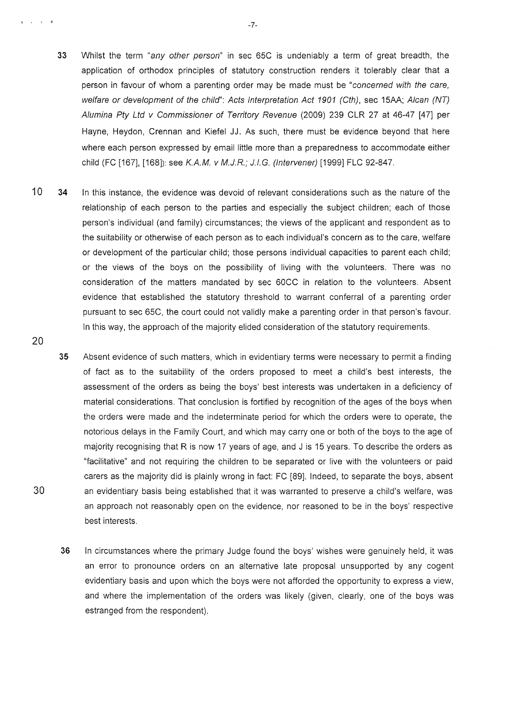- 33 Whilst the term "any other person" in sec 65C is undeniably a term of great breadth, the application of orthodox principles of statutory construction renders it tolerably clear that a person in favour of whom a parenting order may be made must be "concerned with the care, welfare or development of the child": Acts Interpretation Act 1901 (Cth), sec 15AA; Alcan (NT) Alumina Pty Ltd v Commissioner of Territory Revenue (2009) 239 CLR 27 at 46-47 [47] per Hayne, Heydon, Crennan and Kiefel JJ. As such, there must be evidence beyond that here where each person expressed by email little more than a preparedness to accommodate either child (FC [167], (168]): see K.A.M. v M.J.R.; J.I.G. (lntervener) (1999] FLC 92-847.
- 10 34 In this instance, the evidence was devoid of relevant considerations such as the nature of the relationship of each person to the parties and especially the subject children; each of those person's individual (and family) circumstances; the views of the applicant and respondent as to the suitability or otherwise of each person as to each individual's concern as to the care, welfare or development of the particular child; those persons individual capacities to parent each child; or the views of the boys on the possibility of living with the volunteers. There was no consideration of the matters mandated by sec 60CC in relation to the volunteers. Absent evidence that established the statutory threshold to warrant conferral of a parenting order pursuant to sec 65C, the court could not validly make a parenting order in that person's favour. In this way, the approach of the majority elided consideration of the statutory requirements.
- 35 Absent evidence of such matters, which in evidentiary terms were necessary to permit a finding of fact as to the suitability of the orders proposed to meet a child's best interests, the assessment of the orders as being the boys' best interests was undertaken in a deficiency of material considerations. That conclusion is fortified by recognition of the ages of the boys when the orders were made and the indeterminate period for which the orders were to operate, the notorious delays in the Family Court, and which may carry one or both of the boys to the age of majority recognising that R is now 17 years of age, and J is 15 years. To describe the orders as "facilitative" and not requiring the children to be separated or live with the volunteers or paid carers as the majority did is plainly wrong in fact: FC (89]. Indeed, to separate the boys, absent 30 an evidentiary basis being established that it was warranted to preserve a child's welfare, was an approach not reasonably open on the evidence, nor reasoned to be in the boys' respective best interests.
	- 36 In circumstances where the primary Judge found the boys' wishes were genuinely held, it was an error to pronounce orders on an alternative late proposal unsupported by any cogent evidentiary basis and upon which the boys were not afforded the opportunity to express a view, and where the implementation of the orders was likely (given, clearly, one of the boys was estranged from the respondent).

20

) is a set of  $\theta$